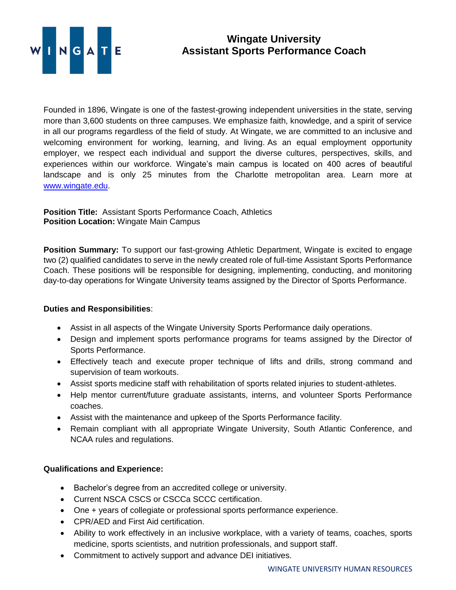

## **Wingate University Assistant Sports Performance Coach**

Founded in 1896, Wingate is one of the fastest-growing independent universities in the state, serving more than 3,600 students on three campuses. We emphasize faith, knowledge, and a spirit of service in all our programs regardless of the field of study. At Wingate, we are committed to an inclusive and welcoming environment for working, learning, and living. As an equal employment opportunity employer, we respect each individual and support the diverse cultures, perspectives, skills, and experiences within our workforce. Wingate's main campus is located on 400 acres of beautiful landscape and is only 25 minutes from the Charlotte metropolitan area. Learn more at [www.wingate.edu.](http://www.wingate/edu)

## **Position Title:** Assistant Sports Performance Coach, Athletics **Position Location:** Wingate Main Campus

**Position Summary:** To support our fast-growing Athletic Department, Wingate is excited to engage two (2) qualified candidates to serve in the newly created role of full-time Assistant Sports Performance Coach. These positions will be responsible for designing, implementing, conducting, and monitoring day-to-day operations for Wingate University teams assigned by the Director of Sports Performance.

## **Duties and Responsibilities**:

- Assist in all aspects of the Wingate University Sports Performance daily operations.
- Design and implement sports performance programs for teams assigned by the Director of Sports Performance.
- Effectively teach and execute proper technique of lifts and drills, strong command and supervision of team workouts.
- Assist sports medicine staff with rehabilitation of sports related injuries to student-athletes.
- Help mentor current/future graduate assistants, interns, and volunteer Sports Performance coaches.
- Assist with the maintenance and upkeep of the Sports Performance facility.
- Remain compliant with all appropriate Wingate University, South Atlantic Conference, and NCAA rules and regulations.

## **Qualifications and Experience:**

- Bachelor's degree from an accredited college or university.
- Current NSCA CSCS or CSCCa SCCC certification.
- One + years of collegiate or professional sports performance experience.
- CPR/AED and First Aid certification.
- Ability to work effectively in an inclusive workplace, with a variety of teams, coaches, sports medicine, sports scientists, and nutrition professionals, and support staff.
- Commitment to actively support and advance DEI initiatives.